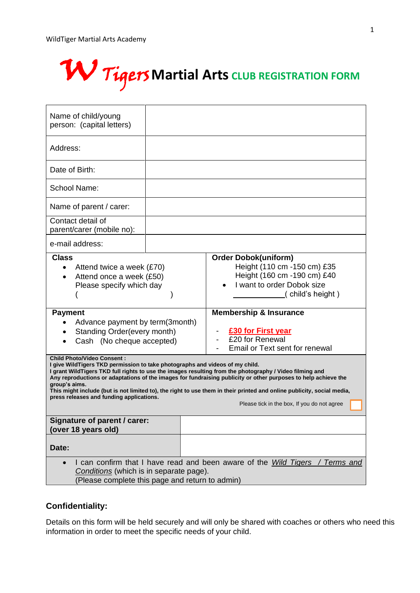

| Name of child/young<br>person: (capital letters)                                                                                                                                                                                                                                                                                                                                                                                                                                                                                                                                                                                                                                                                                                                                      |  |                                                                                                                                                                                                                                                                                                                   |  |  |
|---------------------------------------------------------------------------------------------------------------------------------------------------------------------------------------------------------------------------------------------------------------------------------------------------------------------------------------------------------------------------------------------------------------------------------------------------------------------------------------------------------------------------------------------------------------------------------------------------------------------------------------------------------------------------------------------------------------------------------------------------------------------------------------|--|-------------------------------------------------------------------------------------------------------------------------------------------------------------------------------------------------------------------------------------------------------------------------------------------------------------------|--|--|
| Address:                                                                                                                                                                                                                                                                                                                                                                                                                                                                                                                                                                                                                                                                                                                                                                              |  |                                                                                                                                                                                                                                                                                                                   |  |  |
| Date of Birth:                                                                                                                                                                                                                                                                                                                                                                                                                                                                                                                                                                                                                                                                                                                                                                        |  |                                                                                                                                                                                                                                                                                                                   |  |  |
| School Name:                                                                                                                                                                                                                                                                                                                                                                                                                                                                                                                                                                                                                                                                                                                                                                          |  |                                                                                                                                                                                                                                                                                                                   |  |  |
| Name of parent / carer:                                                                                                                                                                                                                                                                                                                                                                                                                                                                                                                                                                                                                                                                                                                                                               |  |                                                                                                                                                                                                                                                                                                                   |  |  |
| Contact detail of<br>parent/carer (mobile no):                                                                                                                                                                                                                                                                                                                                                                                                                                                                                                                                                                                                                                                                                                                                        |  |                                                                                                                                                                                                                                                                                                                   |  |  |
| e-mail address:                                                                                                                                                                                                                                                                                                                                                                                                                                                                                                                                                                                                                                                                                                                                                                       |  |                                                                                                                                                                                                                                                                                                                   |  |  |
| <b>Class</b><br>Attend twice a week (£70)<br>$\bullet$<br>Attend once a week (£50)<br>$\bullet$<br>Please specify which day<br><b>Payment</b><br>Advance payment by term(3month)<br>Standing Order(every month)<br>Cash (No cheque accepted)<br><b>Child Photo/Video Consent:</b><br>I give WildTigers TKD permission to take photographs and videos of my child.<br>I grant WildTigers TKD full rights to use the images resulting from the photography / Video filming and<br>Any reproductions or adaptations of the images for fundraising publicity or other purposes to help achieve the<br>group's aims.<br>This might include (but is not limited to), the right to use them in their printed and online publicity, social media,<br>press releases and funding applications. |  | <b>Order Dobok(uniform)</b><br>Height (110 cm -150 cm) £35<br>Height (160 cm -190 cm) £40<br>I want to order Dobok size<br>(child's height)<br><b>Membership &amp; Insurance</b><br><b>£30 for First year</b><br>£20 for Renewal<br>Email or Text sent for renewal<br>Please tick in the box, If you do not agree |  |  |
| Signature of parent / carer:<br>(over 18 years old)                                                                                                                                                                                                                                                                                                                                                                                                                                                                                                                                                                                                                                                                                                                                   |  |                                                                                                                                                                                                                                                                                                                   |  |  |
| Date:                                                                                                                                                                                                                                                                                                                                                                                                                                                                                                                                                                                                                                                                                                                                                                                 |  | I can confirm that I have read and been aware of the <i>Wild Tigers / Terms and</i>                                                                                                                                                                                                                               |  |  |
| Conditions (which is in separate page).<br>(Please complete this page and return to admin)                                                                                                                                                                                                                                                                                                                                                                                                                                                                                                                                                                                                                                                                                            |  |                                                                                                                                                                                                                                                                                                                   |  |  |

# **Confidentiality:**

Details on this form will be held securely and will only be shared with coaches or others who need this information in order to meet the specific needs of your child.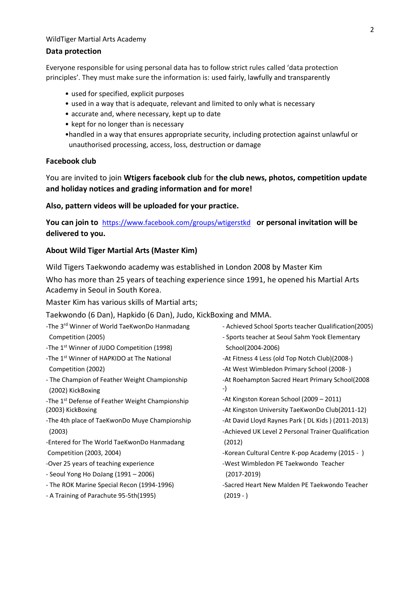#### **Data protection**

Everyone responsible for using personal data has to follow strict rules called 'data protection principles'. They must make sure the information is: used fairly, lawfully and transparently

- used for specified, explicit purposes
- used in a way that is adequate, relevant and limited to only what is necessary
- accurate and, where necessary, kept up to date
- kept for no longer than is necessary
- •handled in a way that ensures appropriate security, including protection against unlawful or unauthorised processing, access, loss, destruction or damage

### **Facebook club**

You are invited to join **Wtigers facebook club** for **the club news, photos, competition update and holiday notices and grading information and for more!**

#### **Also, pattern videos will be uploaded for your practice.**

**You can join to** <https://www.facebook.com/groups/wtigerstkd> **or personal invitation will be delivered to you.** 

#### **About Wild Tiger Martial Arts (Master Kim)**

Wild Tigers Taekwondo academy was established in London 2008 by Master Kim

Who has more than 25 years of teaching experience since 1991, he opened his Martial Arts Academy in Seoul in South Korea.

Master Kim has various skills of Martial arts;

#### Taekwondo (6 Dan), Hapkido (6 Dan), Judo, KickBoxing and MMA.

| -The 3 <sup>rd</sup> Winner of World TaeKwonDo Hanmadang           | - Achieved School Sports teacher Qualification(2005)  |  |  |
|--------------------------------------------------------------------|-------------------------------------------------------|--|--|
| Competition (2005)                                                 | - Sports teacher at Seoul Sahm Yook Elementary        |  |  |
| -The 1 <sup>st</sup> Winner of JUDO Competition (1998)             | School(2004-2006)                                     |  |  |
| -The 1 <sup>st</sup> Winner of HAPKIDO at The National             | -At Fitness 4 Less (old Top Notch Club)(2008-)        |  |  |
| Competition (2002)                                                 | -At West Wimbledon Primary School (2008-)             |  |  |
| - The Champion of Feather Weight Championship<br>(2002) KickBoxing | -At Roehampton Sacred Heart Primary School(2008<br>-) |  |  |
| -The 1 <sup>st</sup> Defense of Feather Weight Championship        | -At Kingston Korean School (2009 – 2011)              |  |  |
| (2003) KickBoxing                                                  | -At Kingston University TaeKwonDo Club(2011-12)       |  |  |
| -The 4th place of TaeKwonDo Muye Championship                      | -At David Lloyd Raynes Park (DL Kids) (2011-2013)     |  |  |
| (2003)                                                             | -Achieved UK Level 2 Personal Trainer Qualification   |  |  |
| -Entered for The World TaeKwonDo Hanmadang                         | (2012)                                                |  |  |
| Competition (2003, 2004)                                           | -Korean Cultural Centre K-pop Academy (2015 - )       |  |  |
| -Over 25 years of teaching experience                              | -West Wimbledon PE Taekwondo Teacher                  |  |  |
| - Seoul Yong Ho DoJang (1991 – 2006)                               | $(2017 - 2019)$                                       |  |  |
| - The ROK Marine Special Recon (1994-1996)                         | -Sacred Heart New Malden PE Taekwondo Teacher         |  |  |
| - A Training of Parachute 95-5th(1995)                             | $(2019 - )$                                           |  |  |
|                                                                    |                                                       |  |  |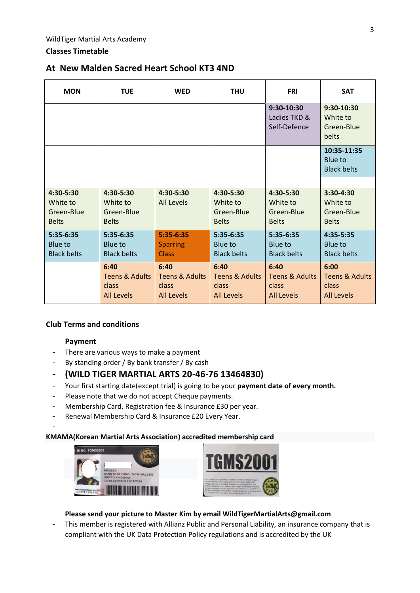# **Classes Timetable**

# **At New Malden Sacred Heart School KT3 4ND**

| <b>MON</b>                                          | <b>TUE</b>                                                      | <b>WED</b>                                                      | <b>THU</b>                                                      | <b>FRI</b>                                           | <b>SAT</b>                                                      |
|-----------------------------------------------------|-----------------------------------------------------------------|-----------------------------------------------------------------|-----------------------------------------------------------------|------------------------------------------------------|-----------------------------------------------------------------|
|                                                     |                                                                 |                                                                 |                                                                 | 9:30-10:30<br>Ladies TKD &<br>Self-Defence           | 9:30-10:30<br>White to<br>Green-Blue<br>belts                   |
|                                                     |                                                                 |                                                                 |                                                                 |                                                      | 10:35-11:35<br>Blue to<br><b>Black belts</b>                    |
|                                                     |                                                                 |                                                                 |                                                                 |                                                      |                                                                 |
| 4:30-5:30<br>White to<br>Green-Blue<br><b>Belts</b> | 4:30-5:30<br>White to<br>Green-Blue<br><b>Belts</b>             | 4:30-5:30<br><b>All Levels</b>                                  | $4:30-5:30$<br>White to<br>Green-Blue<br><b>Belts</b>           | 4:30-5:30<br>White to<br>Green-Blue<br><b>Belts</b>  | $3:30-4:30$<br>White to<br>Green-Blue<br><b>Belts</b>           |
| 5:35-6:35<br>Blue to<br><b>Black belts</b>          | 5:35-6:35<br>Blue to<br><b>Black belts</b>                      | $5:35-6:35$<br><b>Sparring</b><br>Class                         | 5:35-6:35<br>Blue to<br><b>Black belts</b>                      | 5:35-6:35<br>Blue to<br><b>Black belts</b>           | 4:35-5:35<br>Blue to<br><b>Black belts</b>                      |
|                                                     | 6:40<br><b>Teens &amp; Adults</b><br>class<br><b>All Levels</b> | 6:40<br><b>Teens &amp; Adults</b><br>class<br><b>All Levels</b> | 6:40<br><b>Teens &amp; Adults</b><br>class<br><b>All Levels</b> | 6:40<br>Teens & Adults<br>class<br><b>All Levels</b> | 6:00<br><b>Teens &amp; Adults</b><br>class<br><b>All Levels</b> |

# **Club Terms and conditions**

### **Payment**

-

- There are various ways to make a payment
- By standing order / By bank transfer / By cash

# - **(WILD TIGER MARTIAL ARTS 20-46-76 13464830)**

- Your first starting date(except trial) is going to be your **payment date of every month.**
- Please note that we do not accept Cheque payments.
- Membership Card, Registration fee & Insurance £30 per year.
- Renewal Membership Card & Insurance £20 Every Year.

#### **KMAMA(Korean Martial Arts Association) accredited membership card**





### **Please send your picture to Master Kim by email WildTigerMartialArts@gmail.com**

- This member is registered with Allianz Public and Personal Liability, an insurance company that is compliant with the UK Data Protection Policy regulations and is accredited by the UK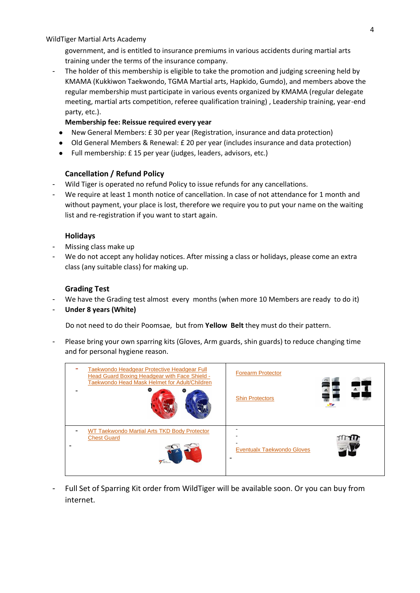government, and is entitled to insurance premiums in various accidents during martial arts training under the terms of the insurance company.

The holder of this membership is eligible to take the promotion and judging screening held by KMAMA (Kukkiwon Taekwondo, TGMA Martial arts, Hapkido, Gumdo), and members above the regular membership must participate in various events organized by KMAMA (regular delegate meeting, martial arts competition, referee qualification training) , Leadership training, year-end party, etc.).

#### **Membership fee: Reissue required every year**

- New General Members: £ 30 per year (Registration, insurance and data protection)
- Old General Members & Renewal: £ 20 per year (includes insurance and data protection)
- Full membership: £ 15 per year (judges, leaders, advisors, etc.)

### **Cancellation / Refund Policy**

- Wild Tiger is operated no refund Policy to issue refunds for any cancellations.
- We require at least 1 month notice of cancellation. In case of not attendance for 1 month and without payment, your place is lost, therefore we require you to put your name on the waiting list and re-registration if you want to start again.

### **Holidays**

- Missing class make up
- We do not accept any holiday notices. After missing a class or holidays, please come an extra class (any suitable class) for making up.

### **Grading Test**

- We have the Grading test almost every months (when more 10 Members are ready to do it)
- **Under 8 years (White)**

Do not need to do their Poomsae, but from **Yellow Belt** they must do their pattern.

Please bring your own sparring kits (Gloves, Arm guards, shin guards) to reduce changing time and for personal hygiene reason.



Full Set of Sparring Kit order from WildTiger will be available soon. Or you can buy from internet.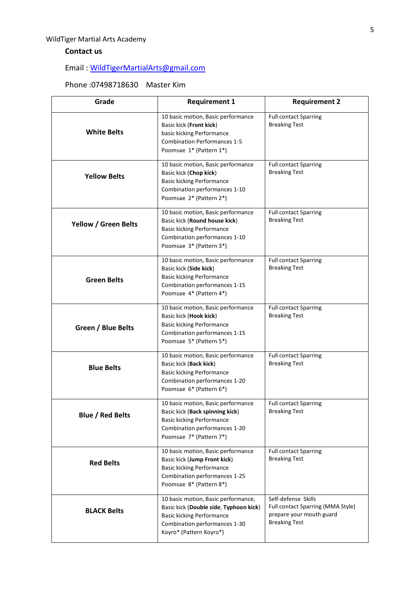# **Contact us**

# Email : [WildTigerMartialArts@gmail.com](mailto:WildTigerMartialArts@gmail.com)

# Phone :07498718630 Master Kim

| Grade                   | <b>Requirement 1</b>                                                                                                                                                          | <b>Requirement 2</b>                                                                                         |  |
|-------------------------|-------------------------------------------------------------------------------------------------------------------------------------------------------------------------------|--------------------------------------------------------------------------------------------------------------|--|
| <b>White Belts</b>      | 10 basic motion, Basic performance<br>Basic kick (Front kick)<br>basic kicking Performance<br><b>Combination Performances 1-5</b><br>Poomsae 1* (Pattern 1*)                  | <b>Full contact Sparring</b><br><b>Breaking Test</b>                                                         |  |
| <b>Yellow Belts</b>     | 10 basic motion, Basic performance<br>Basic kick (Chop kick)<br><b>Basic kicking Performance</b><br>Combination performances 1-10<br>Poomsae 2* (Pattern 2*)                  | <b>Full contact Sparring</b><br><b>Breaking Test</b>                                                         |  |
| Yellow / Green Belts    | 10 basic motion, Basic performance<br>Basic kick (Round house kick)<br><b>Basic kicking Performance</b><br>Combination performances 1-10<br>Poomsae 3* (Pattern 3*)           | <b>Full contact Sparring</b><br><b>Breaking Test</b>                                                         |  |
| <b>Green Belts</b>      | 10 basic motion, Basic performance<br>Basic kick (Side kick)<br><b>Basic kicking Performance</b><br>Combination performances 1-15<br>Poomsae 4* (Pattern 4*)                  | <b>Full contact Sparring</b><br><b>Breaking Test</b>                                                         |  |
| Green / Blue Belts      | 10 basic motion, Basic performance<br>Basic kick (Hook kick)<br><b>Basic kicking Performance</b><br>Combination performances 1-15<br>Poomsae 5* (Pattern 5*)                  | <b>Full contact Sparring</b><br><b>Breaking Test</b>                                                         |  |
| <b>Blue Belts</b>       | 10 basic motion, Basic performance<br>Basic kick (Back kick)<br><b>Basic kicking Performance</b><br>Combination performances 1-20<br>Poomsae 6* (Pattern 6*)                  | <b>Full contact Sparring</b><br><b>Breaking Test</b>                                                         |  |
| <b>Blue / Red Belts</b> | 10 basic motion, Basic performance<br>Basic kick (Back spinning kick)<br><b>Basic kicking Performance</b><br>Combination performances 1-20<br>Poomsae 7* (Pattern 7*)         | <b>Full contact Sparring</b><br><b>Breaking Test</b>                                                         |  |
| <b>Red Belts</b>        | 10 basic motion, Basic performance<br>Basic kick (Jump Front kick)<br><b>Basic kicking Performance</b><br>Combination performances 1-25<br>Poomsae 8* (Pattern 8*)            | <b>Full contact Sparring</b><br><b>Breaking Test</b>                                                         |  |
| <b>BLACK Belts</b>      | 10 basic motion, Basic performance,<br>Basic kick (Double side, Typhoon kick)<br><b>Basic kicking Performance</b><br>Combination performances 1-30<br>Koyro* (Pattern Koyro*) | Self-defense Skills<br>Full contact Sparring (MMA Style)<br>prepare your mouth guard<br><b>Breaking Test</b> |  |